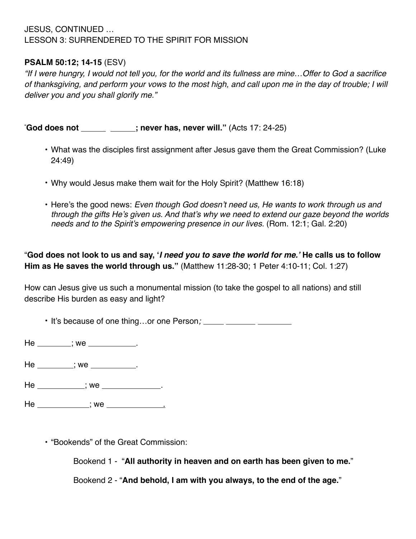## JESUS, CONTINUED … LESSON 3: SURRENDERED TO THE SPIRIT FOR MISSION

## **PSALM 50:12; 14-15** (ESV)

*"If I were hungry, I would not tell you, for the world and its fullness are mine…Offer to God a sacrifice of thanksgiving, and perform your vows to the most high, and call upon me in the day of trouble; I will deliver you and you shall glorify me."* 

" **God does not ; never has, never will."** (Acts 17: 24-25)

- What was the disciples first assignment after Jesus gave them the Great Commission? (Luke 24:49)
- Why would Jesus make them wait for the Holy Spirit? (Matthew 16:18)
- Here's the good news: *Even though God doesn't need us, He wants to work through us and through the gifts He's given us. And that's why we need to extend our gaze beyond the worlds needs and to the Spirit's empowering presence in our lives.* (Rom. 12:1; Gal. 2:20)

"**God does not look to us and say, '***I need you to save the world for me.'* **He calls us to follow Him as He saves the world through us."** (Matthew 11:28-30; 1 Peter 4:10-11; Col. 1:27)

How can Jesus give us such a monumental mission (to take the gospel to all nations) and still describe His burden as easy and light?

• It's because of one thing…or one Person*;* 

 $He$  \_\_\_\_\_\_\_\_; we \_\_\_\_\_\_\_\_\_\_\_.

 $He$  \_\_\_\_\_\_\_\_; we \_\_\_\_\_\_\_\_\_\_.

He \_\_\_\_\_\_\_\_\_\_\_; we \_\_\_\_\_\_\_\_\_\_\_\_\_.

 $He$   $\frac{1}{100}$ ; we  $\frac{1}{100}$ 

• "Bookends" of the Great Commission:

Bookend 1 - "**All authority in heaven and on earth has been given to me.**"

Bookend 2 - "**And behold, I am with you always, to the end of the age.**"